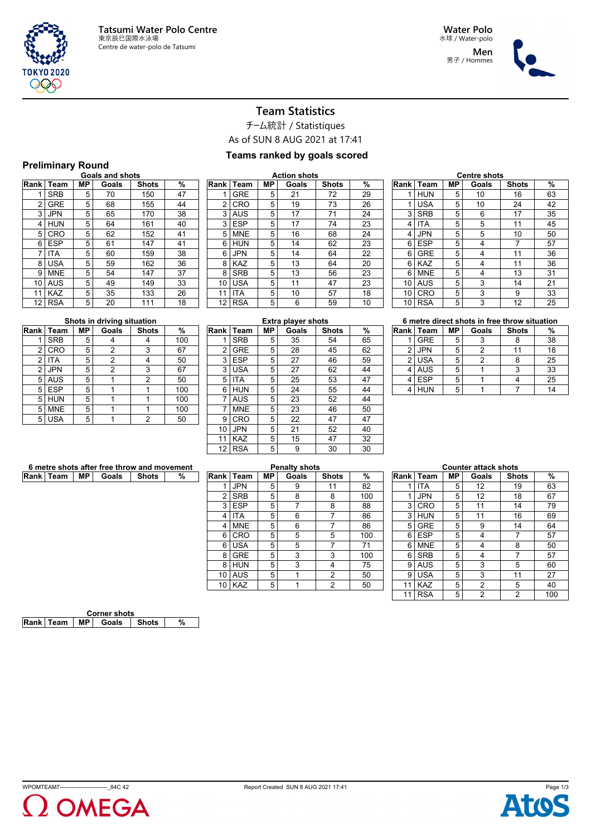

**Men** 男子 / Hommes



# **Team Statistics**

チーム統計 / Statistiques

As of SUN 8 AUG 2021 at 17:41

### **Teams ranked by goals scored**

# **Preliminary Round Goals and shots**

|             | <b>Goals and shots</b> |    |       |              |    |  |  |  |  |  |
|-------------|------------------------|----|-------|--------------|----|--|--|--|--|--|
| <b>Rank</b> | Team                   | МP | Goals | <b>Shots</b> | %  |  |  |  |  |  |
| 1           | <b>SRB</b>             | 5  | 70    | 150          | 47 |  |  |  |  |  |
| 2           | <b>GRE</b>             | 5  | 68    | 155          | 44 |  |  |  |  |  |
| 3           | <b>JPN</b>             | 5  | 65    | 170          | 38 |  |  |  |  |  |
| 4           | <b>HUN</b>             | 5  | 64    | 161          | 40 |  |  |  |  |  |
| 5           | CRO                    | 5  | 62    | 152          | 41 |  |  |  |  |  |
| 6           | <b>ESP</b>             | 5  | 61    | 147          | 41 |  |  |  |  |  |
| 7           | ITA                    | 5  | 60    | 159          | 38 |  |  |  |  |  |
| 8           | <b>USA</b>             | 5  | 59    | 162          | 36 |  |  |  |  |  |
| 9           | <b>MNE</b>             | 5  | 54    | 147          | 37 |  |  |  |  |  |
| 10          | <b>AUS</b>             | 5  | 49    | 149          | 33 |  |  |  |  |  |
| 11          | <b>KAZ</b>             | 5  | 35    | 133          | 26 |  |  |  |  |  |
| 12          | <b>RSA</b>             | 5  | 20    | 111          | 18 |  |  |  |  |  |
|             |                        |    |       |              |    |  |  |  |  |  |

| <b>Action shots</b> |            |    |       |              |    |  |  |  |
|---------------------|------------|----|-------|--------------|----|--|--|--|
| Rank                | Team       | МP | Goals | <b>Shots</b> | %  |  |  |  |
| 1                   | <b>GRE</b> | 5  | 21    | 72           | 29 |  |  |  |
| $\overline{2}$      | CRO        | 5  | 19    | 73           | 26 |  |  |  |
| 3                   | AUS        | 5  | 17    | 71           | 24 |  |  |  |
| 3                   | <b>ESP</b> | 5  | 17    | 74           | 23 |  |  |  |
| 5                   | <b>MNE</b> | 5  | 16    | 68           | 24 |  |  |  |
| 6                   | <b>HUN</b> | 5  | 14    | 62           | 23 |  |  |  |
| 6                   | <b>JPN</b> | 5  | 14    | 64           | 22 |  |  |  |
| 8                   | <b>KAZ</b> | 5  | 13    | 64           | 20 |  |  |  |
| 8                   | <b>SRB</b> | 5  | 13    | 56           | 23 |  |  |  |
| 10                  | <b>USA</b> | 5  | 11    | 47           | 23 |  |  |  |
| 11                  | ITA        | 5  | 10    | 57           | 18 |  |  |  |
| 12                  | <b>RSA</b> | 5  | 6     | 59           | 10 |  |  |  |

|      | <b>Centre shots</b> |    |       |              |    |  |  |  |  |
|------|---------------------|----|-------|--------------|----|--|--|--|--|
| Rank | Team                | MΡ | Goals | <b>Shots</b> | %  |  |  |  |  |
| 1    | <b>HUN</b>          | 5  | 10    | 16           | 63 |  |  |  |  |
| 1    | <b>USA</b>          | 5  | 10    | 24           | 42 |  |  |  |  |
| 3    | <b>SRB</b>          | 5  | 6     | 17           | 35 |  |  |  |  |
| 4    | ITA                 | 5  | 5     | 11           | 45 |  |  |  |  |
| 4    | <b>JPN</b>          | 5  | 5     | 10           | 50 |  |  |  |  |
| 6    | ESP                 | 5  | 4     | 7            | 57 |  |  |  |  |
| 6    | <b>GRE</b>          | 5  | 4     | 11           | 36 |  |  |  |  |
| 6    | <b>KAZ</b>          | 5  | 4     | 11           | 36 |  |  |  |  |
| 6    | <b>MNE</b>          | 5  | 4     | 13           | 31 |  |  |  |  |
| 10   | <b>AUS</b>          | 5  | 3     | 14           | 21 |  |  |  |  |
| 10   | CRO                 | 5  | 3     | 9            | 33 |  |  |  |  |
| 10   | <b>RSA</b>          | 5  | 3     | 12           | 25 |  |  |  |  |

|                | Rank   Team | <b>MP</b> | Goals          | <b>Shots</b> | %   |
|----------------|-------------|-----------|----------------|--------------|-----|
| 1              | <b>SRB</b>  | 5         |                |              | 100 |
| $\overline{2}$ | CRO         | 5         | 2              | 3            | 67  |
| $\overline{2}$ | ITA         | 5         | $\overline{2}$ |              | 50  |
| $\overline{2}$ | <b>JPN</b>  | 5         | 2              | 3            | 67  |
| 5              | <b>AUS</b>  | 5         |                | 2            | 50  |
| 5              | <b>ESP</b>  | 5         |                |              | 100 |
| 5              | <b>HUN</b>  | 5         |                |              | 100 |
| 5              | <b>MNE</b>  | 5         |                |              | 100 |
| 5              | <b>USA</b>  | 5         |                | 2            | 50  |

| <b>Extra player shots</b> |            |    |       |              |    |  |  |  |  |
|---------------------------|------------|----|-------|--------------|----|--|--|--|--|
| Rank                      | Team       | МP | Goals | <b>Shots</b> | %  |  |  |  |  |
| 1                         | <b>SRB</b> | 5  | 35    | 54           | 65 |  |  |  |  |
| 2                         | <b>GRE</b> | 5  | 28    | 45           | 62 |  |  |  |  |
| 3                         | <b>ESP</b> | 5  | 27    | 46           | 59 |  |  |  |  |
| 3                         | <b>USA</b> | 5  | 27    | 62           | 44 |  |  |  |  |
| 5                         | <b>ITA</b> | 5  | 25    | 53           | 47 |  |  |  |  |
| 6                         | <b>HUN</b> | 5  | 24    | 55           | 44 |  |  |  |  |
| 7                         | AUS        | 5  | 23    | 52           | 44 |  |  |  |  |
| 7                         | <b>MNE</b> | 5  | 23    | 46           | 50 |  |  |  |  |
| 9                         | CRO        | 5  | 22    | 47           | 47 |  |  |  |  |
| 10                        | <b>JPN</b> | 5  | 21    | 52           | 40 |  |  |  |  |
| 11                        | <b>KAZ</b> | 5  | 15    | 47           | 32 |  |  |  |  |
| 12                        | <b>RSA</b> | 5  | 9     | 30           | 30 |  |  |  |  |

| 6 metre direct shots in free throw situation |             |           |       |              |    |  |  |  |
|----------------------------------------------|-------------|-----------|-------|--------------|----|--|--|--|
| <b>Rank</b> I                                | <b>Team</b> | <b>MP</b> | Goals | <b>Shots</b> | %  |  |  |  |
|                                              | <b>GRE</b>  | 5         |       |              | 38 |  |  |  |
| 2                                            | <b>JPN</b>  | 5         | 2     | 11           | 18 |  |  |  |
| 2                                            | <b>USA</b>  | 5         | 2     | я            | 25 |  |  |  |
| 4                                            | <b>AUS</b>  | 5         |       |              | 33 |  |  |  |
|                                              | <b>ESP</b>  | 5         |       |              | 25 |  |  |  |
|                                              |             | 5         |       |              |    |  |  |  |

| 6 metre shots after free throw and movement |  |  |                                    |  |  |  |  |
|---------------------------------------------|--|--|------------------------------------|--|--|--|--|
|                                             |  |  | Rank │ Team │ MP │ Goals │ Shots │ |  |  |  |  |
|                                             |  |  |                                    |  |  |  |  |

|    | <b>Penalty shots</b> |    |       |              |     |  |  |  |  |
|----|----------------------|----|-------|--------------|-----|--|--|--|--|
|    | Rank   Team          | MР | Goals | <b>Shots</b> | %   |  |  |  |  |
|    | <b>JPN</b>           | 5  | 9     | 11           | 82  |  |  |  |  |
| 2  | <b>SRB</b>           | 5  | 8     | 8            | 100 |  |  |  |  |
| 3  | <b>ESP</b>           | 5  |       | 8            | 88  |  |  |  |  |
| 4  | ITA                  | 5  | 6     |              | 86  |  |  |  |  |
| 4  | <b>MNE</b>           | 5  | 6     |              | 86  |  |  |  |  |
| 6  | CRO                  | 5  | 5     | 5            | 100 |  |  |  |  |
| 6  | <b>USA</b>           | 5  | 5     |              | 71  |  |  |  |  |
| 8  | <b>GRE</b>           | 5  | 3     | 3            | 100 |  |  |  |  |
| 8  | <b>HUN</b>           | 5  | 3     | 4            | 75  |  |  |  |  |
| 10 | <b>AUS</b>           | 5  | 1     | 2            | 50  |  |  |  |  |
| 10 | <b>KAZ</b>           | 5  | 1     | 2            | 50  |  |  |  |  |

| <b>Counter attack shots</b> |            |    |                |              |     |  |  |  |  |  |
|-----------------------------|------------|----|----------------|--------------|-----|--|--|--|--|--|
| Rank                        | Team       | МP | Goals          | <b>Shots</b> | %   |  |  |  |  |  |
| 1                           | ITA        | 5  | 12             | 19           | 63  |  |  |  |  |  |
| 1                           | JPN        | 5  | 12             | 18           | 67  |  |  |  |  |  |
| 3                           | CRO        | 5  | 11             | 14           | 79  |  |  |  |  |  |
| 3                           | <b>HUN</b> | 5  | 11             | 16           | 69  |  |  |  |  |  |
| 5                           | <b>GRE</b> | 5  | 9              | 14           | 64  |  |  |  |  |  |
| 6                           | <b>ESP</b> | 5  | 4              | 7            | 57  |  |  |  |  |  |
| 6                           | <b>MNE</b> | 5  | 4              | 8            | 50  |  |  |  |  |  |
| 6                           | <b>SRB</b> | 5  | 4              | 7            | 57  |  |  |  |  |  |
| 9                           | AUS        | 5  | 3              | 5            | 60  |  |  |  |  |  |
| 9                           | <b>USA</b> | 5  | 3              | 11           | 27  |  |  |  |  |  |
| 11                          | <b>KAZ</b> | 5  | 2              | 5            | 40  |  |  |  |  |  |
| 11                          | <b>RSA</b> | 5  | $\overline{2}$ | 2            | 100 |  |  |  |  |  |

| <b>Corner shots</b> |  |  |                                |  |  |  |  |
|---------------------|--|--|--------------------------------|--|--|--|--|
|                     |  |  | Rank Team   MP   Goals   Shots |  |  |  |  |
|                     |  |  |                                |  |  |  |  |



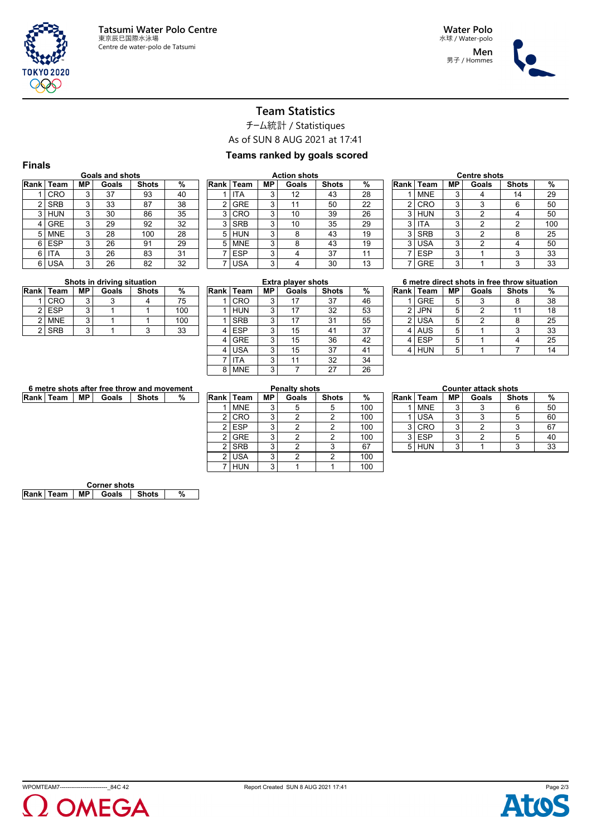

**Men** 男子 / Hommes



# **Team Statistics**

チーム統計 / Statistiques

As of SUN 8 AUG 2021 at 17:41

### **Teams ranked by goals scored**

|                | <b>Finals</b>          |    |       |              |    |   |  |  |  |  |  |
|----------------|------------------------|----|-------|--------------|----|---|--|--|--|--|--|
|                | <b>Goals and shots</b> |    |       |              |    |   |  |  |  |  |  |
| Rank           | Team                   | MР | Goals | <b>Shots</b> | %  | R |  |  |  |  |  |
|                | CRO                    | 3  | 37    | 93           | 40 |   |  |  |  |  |  |
| $\overline{2}$ | <b>SRB</b>             | 3  | 33    | 87           | 38 |   |  |  |  |  |  |
| 3              | <b>HUN</b>             | 3  | 30    | 86           | 35 |   |  |  |  |  |  |
| 4              | <b>GRE</b>             | 3  | 29    | 92           | 32 |   |  |  |  |  |  |
| 5              | <b>MNE</b>             | 3  | 28    | 100          | 28 |   |  |  |  |  |  |
| 6              | <b>ESP</b>             | 3  | 26    | 91           | 29 |   |  |  |  |  |  |
| 6              | ITA                    | 3  | 26    | 83           | 31 |   |  |  |  |  |  |
| 6              | USA                    | 3  | 26    | 82           | 32 |   |  |  |  |  |  |

| <b>Action shots</b> |            |           |       |              |    |  |  |  |  |
|---------------------|------------|-----------|-------|--------------|----|--|--|--|--|
| Rank                | Team       | <b>MP</b> | Goals | <b>Shots</b> | %  |  |  |  |  |
|                     | <b>ITA</b> | 3         | 12    | 43           | 28 |  |  |  |  |
| 2                   | <b>GRE</b> | 3         | 11    | 50           | 22 |  |  |  |  |
| 3                   | CRO        | 3         | 10    | 39           | 26 |  |  |  |  |
| 3                   | <b>SRB</b> | 3         | 10    | 35           | 29 |  |  |  |  |
| 5                   | <b>HUN</b> | 3         | 8     | 43           | 19 |  |  |  |  |
| 5                   | <b>MNE</b> | 3         | 8     | 43           | 19 |  |  |  |  |
|                     | <b>ESP</b> | 3         | 4     | 37           | 11 |  |  |  |  |
|                     | <b>USA</b> | 3         |       | 30           | 13 |  |  |  |  |

| <b>Centre shots</b> |            |    |       |              |     |  |  |  |  |
|---------------------|------------|----|-------|--------------|-----|--|--|--|--|
| Rank I              | Team       | МP | Goals | <b>Shots</b> | %   |  |  |  |  |
|                     | <b>MNE</b> | 3  |       | 14           | 29  |  |  |  |  |
| 2                   | CRO        | 3  | 3     | 6            | 50  |  |  |  |  |
| 3                   | <b>HUN</b> | 3  | 2     |              | 50  |  |  |  |  |
| 3                   | <b>ITA</b> | 3  | 2     | 2            | 100 |  |  |  |  |
| 3                   | <b>SRB</b> | 3  | 2     | 8            | 25  |  |  |  |  |
| 3                   | <b>USA</b> | 3  | 2     | 4            | 50  |  |  |  |  |
|                     | <b>ESP</b> | 3  |       | 3            | 33  |  |  |  |  |
|                     | <b>GRE</b> | 3  |       | 3            | 33  |  |  |  |  |

#### **Shots in driving situation**

| Rank   Team | MP. | Goals | <b>Shots</b> | %   |
|-------------|-----|-------|--------------|-----|
| CRO         |     |       |              | 75  |
| <b>ESP</b>  |     |       |              | 100 |
| <b>MNE</b>  |     |       |              | 100 |
| <b>SRB</b>  |     |       |              | 33  |
|             |     |       |              |     |

| <b>Extra player shots</b> |    |       |              |    |  |  |  |  |  |  |
|---------------------------|----|-------|--------------|----|--|--|--|--|--|--|
| Team                      | МP | Goals | <b>Shots</b> | %  |  |  |  |  |  |  |
| CRO                       | 3  | 17    | 37           | 46 |  |  |  |  |  |  |
| <b>HUN</b>                | 3  | 17    | 32           | 53 |  |  |  |  |  |  |
| <b>SRB</b>                | 3  | 17    | 31           | 55 |  |  |  |  |  |  |
| <b>ESP</b>                | 3  | 15    | 41           | 37 |  |  |  |  |  |  |
| <b>GRE</b>                | 3  | 15    | 36           | 42 |  |  |  |  |  |  |
| <b>USA</b>                | 3  | 15    | 37           | 41 |  |  |  |  |  |  |
| ITA                       | 3  | 11    | 32           | 34 |  |  |  |  |  |  |
| <b>MNE</b>                | 3  |       | 27           | 26 |  |  |  |  |  |  |
|                           |    |       |              |    |  |  |  |  |  |  |

#### **6 metre direct shots in free throw situation Rank Team MP Goals Shots %** 1 GRE 5 3 8 38 2 JPN 5 2 11 18 2 USA 5 2 8 25 4 AUS 5 1 3 33 4 ESP 5 1 4 25

4 HUN 5 1 7 14

| 6 metre shots after free throw and movement |  |  |                                  |  |  |  |  |
|---------------------------------------------|--|--|----------------------------------|--|--|--|--|
|                                             |  |  | Rank   Team   MP   Goals   Shots |  |  |  |  |
|                                             |  |  |                                  |  |  |  |  |

|      | <b>Penalty shots</b> |    |       |              |     |  |  |  |  |  |
|------|----------------------|----|-------|--------------|-----|--|--|--|--|--|
| Rank | Team                 | МP | Goals | <b>Shots</b> | %   |  |  |  |  |  |
|      | <b>MNE</b>           | 3  | 5     | 5            | 100 |  |  |  |  |  |
| 2    | CRO                  | 3  | 2     | 2            | 100 |  |  |  |  |  |
| 2    | <b>ESP</b>           | 3  | 2     | 2            | 100 |  |  |  |  |  |
| 2    | <b>GRE</b>           | 3  | 2     | 2            | 100 |  |  |  |  |  |
| 2    | <b>SRB</b>           | 3  | 2     | 3            | 67  |  |  |  |  |  |
| 2    | <b>USA</b>           | 3  | 2     | 2            | 100 |  |  |  |  |  |
|      | HUN                  | 3  |       |              | 100 |  |  |  |  |  |

| <b>Counter attack shots</b> |             |    |       |              |    |  |  |  |  |
|-----------------------------|-------------|----|-------|--------------|----|--|--|--|--|
|                             | Rank   Team | MР | Goals | <b>Shots</b> | %  |  |  |  |  |
|                             | <b>MNE</b>  | 3  |       |              | 50 |  |  |  |  |
|                             | <b>USA</b>  | 3  | 3     |              | 60 |  |  |  |  |
| 3                           | CRO         | 3  |       |              | 67 |  |  |  |  |
| 3                           | <b>ESP</b>  | 3  |       |              | 40 |  |  |  |  |
|                             | HUN         | 2  |       |              | 33 |  |  |  |  |

| <b>Corner shots</b> |  |  |                                |  |  |  |
|---------------------|--|--|--------------------------------|--|--|--|
|                     |  |  | Rank Team   MP   Goals   Shots |  |  |  |